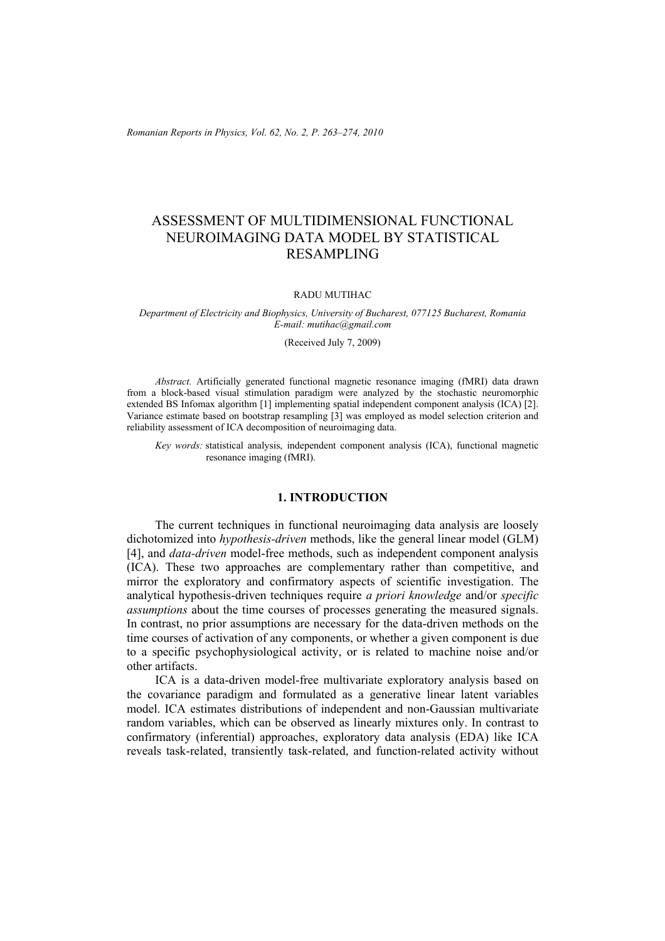*Romanian Reports in Physics, Vol. 62, No. 2, P. 263–274, 2010*

# ASSESSMENT OF MULTIDIMENSIONAL FUNCTIONAL NEUROIMAGING DATA MODEL BY STATISTICAL RESAMPLING

#### RADU MUTIHAC

*Department of Electricity and Biophysics, University of Bucharest, 077125 Bucharest, Romania E-mail: mutihac@gmail.com* 

(Received July 7, 2009)

*Abstract.* Artificially generated functional magnetic resonance imaging (fMRI) data drawn from a block-based visual stimulation paradigm were analyzed by the stochastic neuromorphic extended BS Infomax algorithm [1] implementing spatial independent component analysis (ICA) [2]. Variance estimate based on bootstrap resampling [3] was employed as model selection criterion and reliability assessment of ICA decomposition of neuroimaging data.

*Key words:* statistical analysis, independent component analysis (ICA), functional magnetic resonance imaging (fMRI).

## **1. INTRODUCTION**

The current techniques in functional neuroimaging data analysis are loosely dichotomized into *hypothesis-driven* methods, like the general linear model (GLM) [4], and *data-driven* model-free methods, such as independent component analysis (ICA). These two approaches are complementary rather than competitive, and mirror the exploratory and confirmatory aspects of scientific investigation. The analytical hypothesis-driven techniques require *a priori knowledge* and/or *specific assumptions* about the time courses of processes generating the measured signals. In contrast, no prior assumptions are necessary for the data-driven methods on the time courses of activation of any components, or whether a given component is due to a specific psychophysiological activity, or is related to machine noise and/or other artifacts.

ICA is a data-driven model-free multivariate exploratory analysis based on the covariance paradigm and formulated as a generative linear latent variables model. ICA estimates distributions of independent and non-Gaussian multivariate random variables, which can be observed as linearly mixtures only. In contrast to confirmatory (inferential) approaches, exploratory data analysis (EDA) like ICA reveals task-related, transiently task-related, and function-related activity without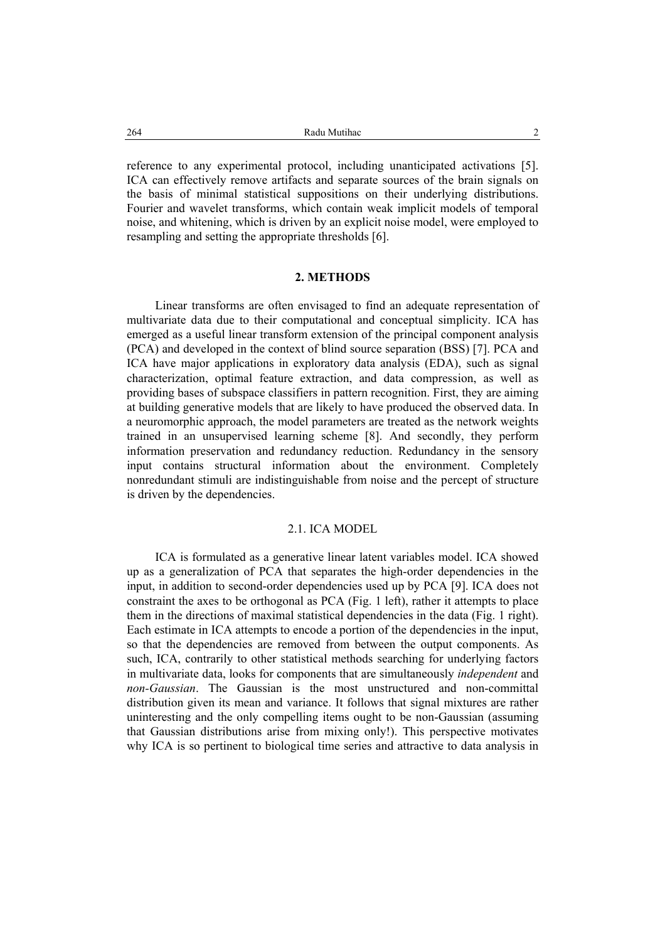reference to any experimental protocol, including unanticipated activations [5]. ICA can effectively remove artifacts and separate sources of the brain signals on the basis of minimal statistical suppositions on their underlying distributions. Fourier and wavelet transforms, which contain weak implicit models of temporal noise, and whitening, which is driven by an explicit noise model, were employed to resampling and setting the appropriate thresholds [6].

## **2. METHODS**

Linear transforms are often envisaged to find an adequate representation of multivariate data due to their computational and conceptual simplicity. ICA has emerged as a useful linear transform extension of the principal component analysis (PCA) and developed in the context of blind source separation (BSS) [7]. PCA and ICA have major applications in exploratory data analysis (EDA), such as signal characterization, optimal feature extraction, and data compression, as well as providing bases of subspace classifiers in pattern recognition. First, they are aiming at building generative models that are likely to have produced the observed data. In a neuromorphic approach, the model parameters are treated as the network weights trained in an unsupervised learning scheme [8]. And secondly, they perform information preservation and redundancy reduction. Redundancy in the sensory input contains structural information about the environment. Completely nonredundant stimuli are indistinguishable from noise and the percept of structure is driven by the dependencies.

## 2.1. ICA MODEL

ICA is formulated as a generative linear latent variables model. ICA showed up as a generalization of PCA that separates the high-order dependencies in the input, in addition to second-order dependencies used up by PCA [9]. ICA does not constraint the axes to be orthogonal as PCA (Fig. 1 left), rather it attempts to place them in the directions of maximal statistical dependencies in the data (Fig. 1 right). Each estimate in ICA attempts to encode a portion of the dependencies in the input, so that the dependencies are removed from between the output components. As such, ICA, contrarily to other statistical methods searching for underlying factors in multivariate data, looks for components that are simultaneously *independent* and *non-Gaussian*. The Gaussian is the most unstructured and non-committal distribution given its mean and variance. It follows that signal mixtures are rather uninteresting and the only compelling items ought to be non-Gaussian (assuming that Gaussian distributions arise from mixing only!). This perspective motivates why ICA is so pertinent to biological time series and attractive to data analysis in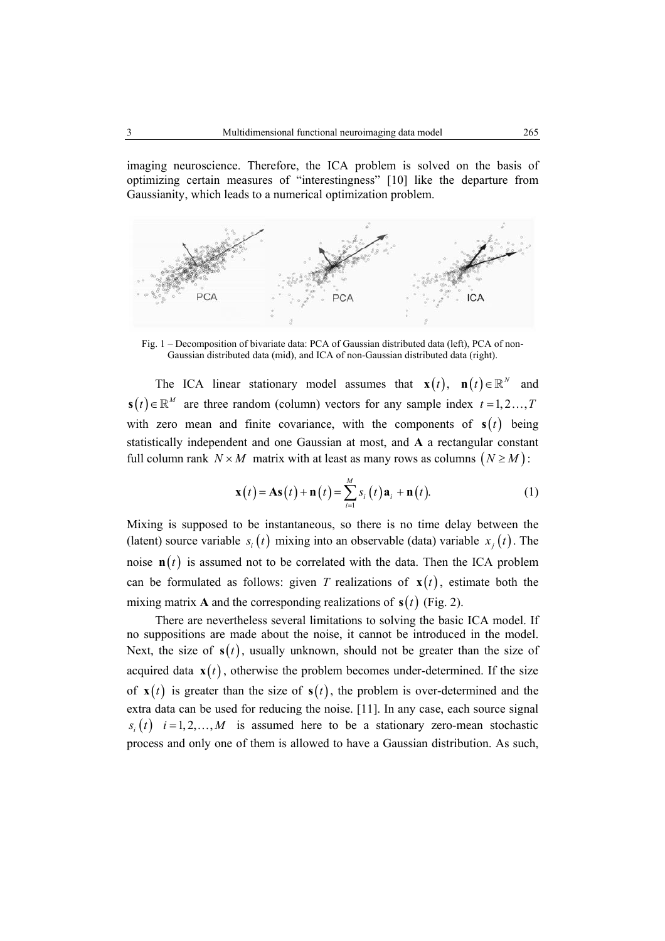imaging neuroscience. Therefore, the ICA problem is solved on the basis of optimizing certain measures of "interestingness" [10] like the departure from Gaussianity, which leads to a numerical optimization problem.



Fig. 1 – Decomposition of bivariate data: PCA of Gaussian distributed data (left), PCA of non-Gaussian distributed data (mid), and ICA of non-Gaussian distributed data (right).

The ICA linear stationary model assumes that  $\mathbf{x}(t)$ ,  $\mathbf{n}(t) \in \mathbb{R}^N$  and  $\mathbf{s}(t) \in \mathbb{R}^M$  are three random (column) vectors for any sample index  $t = 1, 2, ..., T$ with zero mean and finite covariance, with the components of  $s(t)$  being statistically independent and one Gaussian at most, and **A** a rectangular constant full column rank  $N \times M$  matrix with at least as many rows as columns  $(N \ge M)$ :

$$
\mathbf{x}(t) = \mathbf{A}\mathbf{s}(t) + \mathbf{n}(t) = \sum_{i=1}^{M} s_i(t)\mathbf{a}_i + \mathbf{n}(t).
$$
 (1)

Mixing is supposed to be instantaneous, so there is no time delay between the (latent) source variable  $s_i(t)$  mixing into an observable (data) variable  $x_i(t)$ . The noise  $\mathbf{n}(t)$  is assumed not to be correlated with the data. Then the ICA problem can be formulated as follows: given *T* realizations of  $\mathbf{x}(t)$ , estimate both the mixing matrix **A** and the corresponding realizations of  $s(t)$  (Fig. 2).

There are nevertheless several limitations to solving the basic ICA model. If no suppositions are made about the noise, it cannot be introduced in the model. Next, the size of  $s(t)$ , usually unknown, should not be greater than the size of acquired data  $\mathbf{x}(t)$ , otherwise the problem becomes under-determined. If the size of  $\mathbf{x}(t)$  is greater than the size of  $\mathbf{s}(t)$ , the problem is over-determined and the extra data can be used for reducing the noise. [11]. In any case, each source signal  $s_i(t)$  *i* = 1, 2, ..., *M* is assumed here to be a stationary zero-mean stochastic process and only one of them is allowed to have a Gaussian distribution. As such,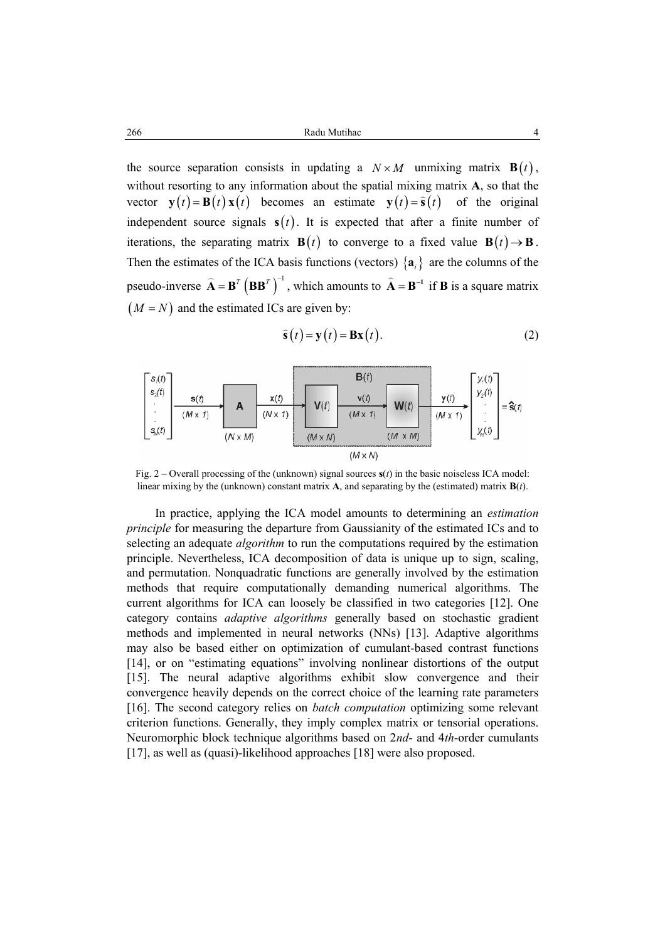Radu Mutihac 4 266

the source separation consists in updating a  $N \times M$  unmixing matrix  $\mathbf{B}(t)$ , without resorting to any information about the spatial mixing matrix **A**, so that the vector  $\mathbf{y}(t) = \mathbf{B}(t) \mathbf{x}(t)$  becomes an estimate  $\mathbf{y}(t) = \hat{\mathbf{s}}(t)$  of the original independent source signals  $s(t)$ . It is expected that after a finite number of iterations, the separating matrix **B**(*t*) to converge to a fixed value **B**(*t*)  $\rightarrow$  **B**. Then the estimates of the ICA basis functions (vectors)  $\{a_i\}$  are the columns of the pseudo-inverse  $\hat{\mathbf{A}} = \mathbf{B}^T (\mathbf{B} \mathbf{B}^T)^{-1}$  $\hat{\mathbf{A}} = \mathbf{B}^T \left( \mathbf{B} \mathbf{B}^T \right)^{-1}$ , which amounts to  $\hat{\mathbf{A}} = \mathbf{B}^{-1}$  if **B** is a square matrix  $(M = N)$  and the estimated ICs are given by:

$$
\hat{\mathbf{s}}(t) = \mathbf{y}(t) = \mathbf{B}\mathbf{x}(t). \tag{2}
$$



Fig. 2 – Overall processing of the (unknown) signal sources **s**(*t*) in the basic noiseless ICA model: linear mixing by the (unknown) constant matrix **A**, and separating by the (estimated) matrix **B**(*t*).

In practice, applying the ICA model amounts to determining an *estimation principle* for measuring the departure from Gaussianity of the estimated ICs and to selecting an adequate *algorithm* to run the computations required by the estimation principle. Nevertheless, ICA decomposition of data is unique up to sign, scaling, and permutation. Nonquadratic functions are generally involved by the estimation methods that require computationally demanding numerical algorithms. The current algorithms for ICA can loosely be classified in two categories [12]. One category contains *adaptive algorithms* generally based on stochastic gradient methods and implemented in neural networks (NNs) [13]. Adaptive algorithms may also be based either on optimization of cumulant-based contrast functions [14], or on "estimating equations" involving nonlinear distortions of the output [15]. The neural adaptive algorithms exhibit slow convergence and their convergence heavily depends on the correct choice of the learning rate parameters [16]. The second category relies on *batch computation* optimizing some relevant criterion functions. Generally, they imply complex matrix or tensorial operations. Neuromorphic block technique algorithms based on 2*nd*- and 4*th*-order cumulants [17], as well as (quasi)-likelihood approaches [18] were also proposed.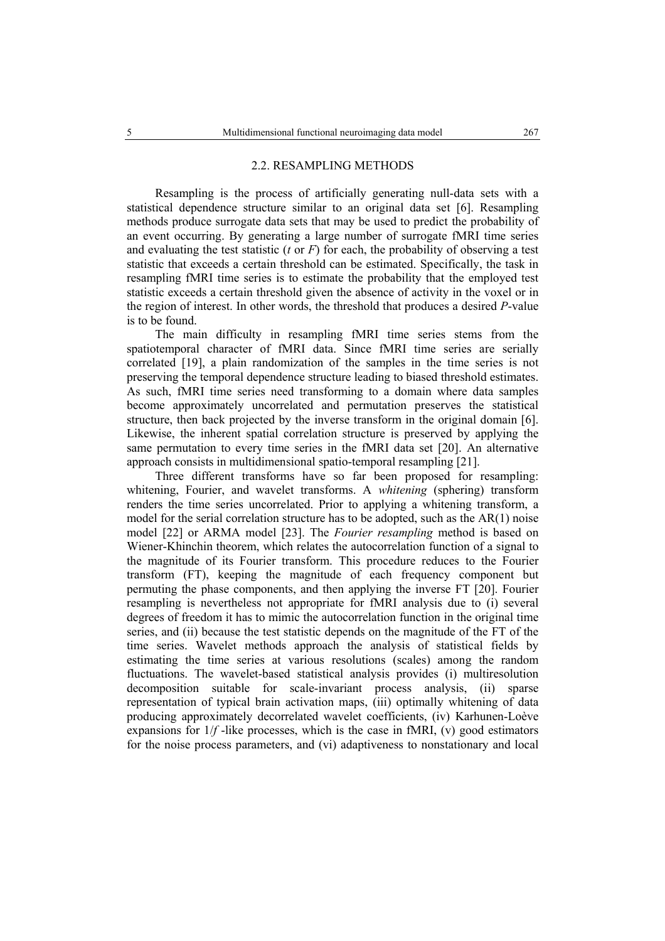#### 2.2. RESAMPLING METHODS

Resampling is the process of artificially generating null-data sets with a statistical dependence structure similar to an original data set [6]. Resampling methods produce surrogate data sets that may be used to predict the probability of an event occurring. By generating a large number of surrogate fMRI time series and evaluating the test statistic  $(t$  or  $F$ ) for each, the probability of observing a test statistic that exceeds a certain threshold can be estimated. Specifically, the task in resampling fMRI time series is to estimate the probability that the employed test statistic exceeds a certain threshold given the absence of activity in the voxel or in the region of interest. In other words, the threshold that produces a desired *P*-value is to be found.

The main difficulty in resampling fMRI time series stems from the spatiotemporal character of fMRI data. Since fMRI time series are serially correlated [19], a plain randomization of the samples in the time series is not preserving the temporal dependence structure leading to biased threshold estimates. As such, fMRI time series need transforming to a domain where data samples become approximately uncorrelated and permutation preserves the statistical structure, then back projected by the inverse transform in the original domain [6]. Likewise, the inherent spatial correlation structure is preserved by applying the same permutation to every time series in the fMRI data set [20]. An alternative approach consists in multidimensional spatio-temporal resampling [21].

Three different transforms have so far been proposed for resampling: whitening, Fourier, and wavelet transforms. A *whitening* (sphering) transform renders the time series uncorrelated. Prior to applying a whitening transform, a model for the serial correlation structure has to be adopted, such as the AR(1) noise model [22] or ARMA model [23]. The *Fourier resampling* method is based on Wiener-Khinchin theorem, which relates the autocorrelation function of a signal to the magnitude of its Fourier transform. This procedure reduces to the Fourier transform (FT), keeping the magnitude of each frequency component but permuting the phase components, and then applying the inverse FT [20]. Fourier resampling is nevertheless not appropriate for fMRI analysis due to (i) several degrees of freedom it has to mimic the autocorrelation function in the original time series, and (ii) because the test statistic depends on the magnitude of the FT of the time series. Wavelet methods approach the analysis of statistical fields by estimating the time series at various resolutions (scales) among the random fluctuations. The wavelet-based statistical analysis provides (i) multiresolution decomposition suitable for scale-invariant process analysis, (ii) sparse representation of typical brain activation maps, (iii) optimally whitening of data producing approximately decorrelated wavelet coefficients, (iv) Karhunen-Loève expansions for  $1/f$ -like processes, which is the case in fMRI, (v) good estimators for the noise process parameters, and (vi) adaptiveness to nonstationary and local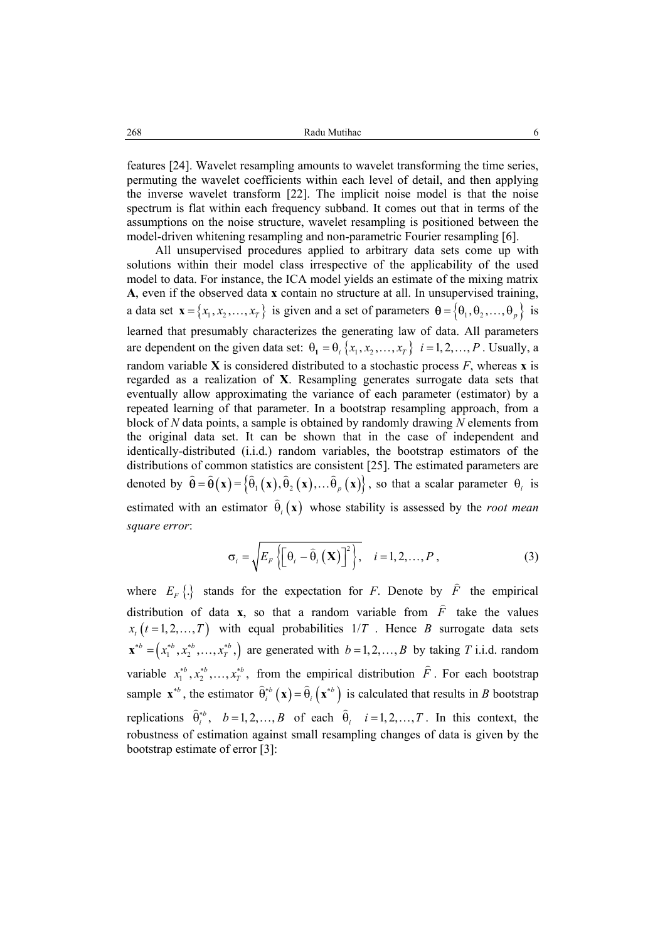features [24]. Wavelet resampling amounts to wavelet transforming the time series, permuting the wavelet coefficients within each level of detail, and then applying the inverse wavelet transform [22]. The implicit noise model is that the noise spectrum is flat within each frequency subband. It comes out that in terms of the assumptions on the noise structure, wavelet resampling is positioned between the model-driven whitening resampling and non-parametric Fourier resampling [6].

All unsupervised procedures applied to arbitrary data sets come up with solutions within their model class irrespective of the applicability of the used model to data. For instance, the ICA model yields an estimate of the mixing matrix **A**, even if the observed data **x** contain no structure at all. In unsupervised training, a data set  $\mathbf{x} = \{x_1, x_2, ..., x_T\}$  is given and a set of parameters  $\mathbf{\theta} = \{\theta_1, \theta_2, ..., \theta_n\}$  is learned that presumably characterizes the generating law of data. All parameters are dependent on the given data set:  $\theta_1 = \theta_i$ ,  $\{x_1, x_2, ..., x_r\}$ ,  $i = 1, 2, ..., P$ . Usually, a random variable **X** is considered distributed to a stochastic process *F*, whereas **x** is regarded as a realization of **X**. Resampling generates surrogate data sets that eventually allow approximating the variance of each parameter (estimator) by a repeated learning of that parameter. In a bootstrap resampling approach, from a block of *N* data points, a sample is obtained by randomly drawing *N* elements from the original data set. It can be shown that in the case of independent and identically-distributed (i.i.d.) random variables, the bootstrap estimators of the distributions of common statistics are consistent [25]. The estimated parameters are denoted by  $\hat{\theta} = \hat{\theta}(\mathbf{x}) = \{\hat{\theta}_1(\mathbf{x}), \hat{\theta}_2(\mathbf{x}),...\hat{\theta}_n(\mathbf{x})\}$ , so that a scalar parameter  $\theta_i$  is estimated with an estimator  $\hat{\theta}$  (x) whose stability is assessed by the *root mean square error*:

$$
\sigma_{i} = \sqrt{E_{F}\left\{ \left[\theta_{i} - \widehat{\theta}_{i}\left(\mathbf{X}\right)\right]^{2}\right\}}, \quad i = 1, 2, ..., P,
$$
\n(3)

where  $E_F\left\{\right\}$  stands for the expectation for *F*. Denote by *F*  $\overline{a}$  the empirical distribution of data **x**, so that a random variable from  $\hat{F}$  take the values  $x_t$  ( $t = 1, 2, ..., T$ ) with equal probabilities  $1/T$ . Hence *B* surrogate data sets  $\mathbf{x}^{*b} = (x_1^{*b}, x_2^{*b}, \dots, x_T^{*b})$  are generated with  $b = 1, 2, \dots, B$  by taking *T* i.i.d. random variable  $x_1^{*b}, x_2^{*b}, ..., x_T^{*b}$ , from the empirical distribution  $\hat{F}$ . For each bootstrap sample  $\mathbf{x}^{*b}$ , the estimator  $\hat{\theta}_i^{*b}(\mathbf{x}) = \hat{\theta}_i(\mathbf{x}^{*b})$  is calculated that results in *B* bootstrap replications  $\hat{\theta}_i^{*b}$ ,  $b=1, 2, ..., B$  of each  $\hat{\theta}_i$   $i=1, 2, ..., T$ . In this context, the robustness of estimation against small resampling changes of data is given by the bootstrap estimate of error [3]: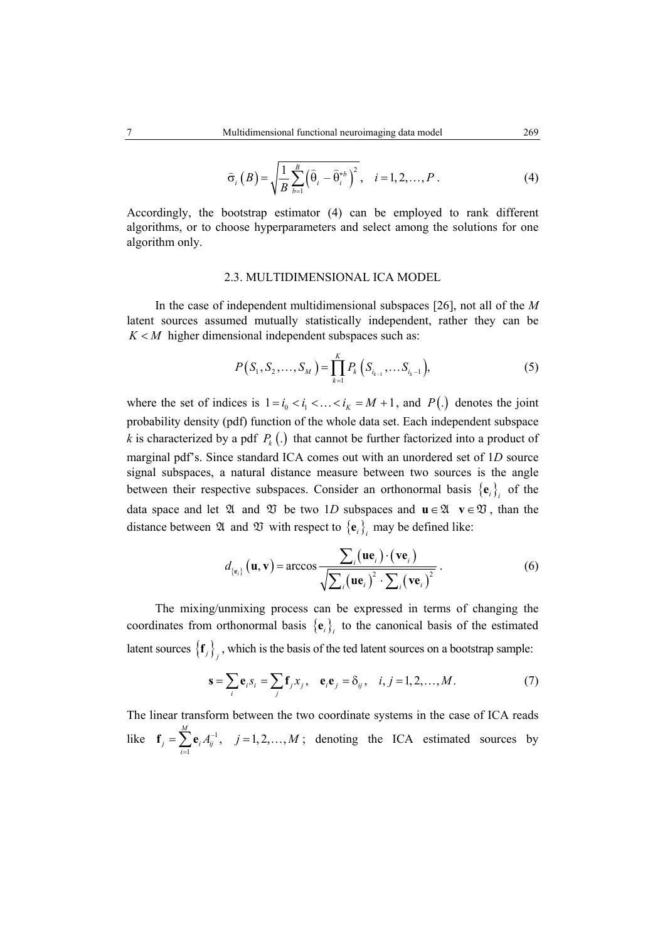$$
\widehat{\sigma}_{i}\left(B\right) = \sqrt{\frac{1}{B} \sum_{b=1}^{B} \left(\widehat{\theta}_{i} - \widehat{\theta}_{i}^{*b}\right)^{2}}, \quad i = 1, 2, \dots, P.
$$
\n<sup>(4)</sup>

Accordingly, the bootstrap estimator (4) can be employed to rank different algorithms, or to choose hyperparameters and select among the solutions for one algorithm only.

## 2.3. MULTIDIMENSIONAL ICA MODEL

In the case of independent multidimensional subspaces [26], not all of the *M*  latent sources assumed mutually statistically independent, rather they can be  $K < M$  higher dimensional independent subspaces such as:

$$
P(S_1, S_2, \dots, S_M) = \prod_{k=1}^{K} P_k (S_{i_{k-1}}, \dots S_{i_k-1}),
$$
 (5)

where the set of indices is  $1 = i_0 < i_1 < \ldots < i_K = M + 1$ , and  $P(.)$  denotes the joint probability density (pdf) function of the whole data set. Each independent subspace *k* is characterized by a pdf  $P_k(.)$  that cannot be further factorized into a product of marginal pdf's. Since standard ICA comes out with an unordered set of 1*D* source signal subspaces, a natural distance measure between two sources is the angle between their respective subspaces. Consider an orthonormal basis  ${e_i}$  of the data space and let  $\mathfrak{A}$  and  $\mathfrak{V}$  be two 1*D* subspaces and  $\mathbf{u} \in \mathfrak{A}$  **v**∈ $\mathfrak{V}$ , than the distance between  $\mathfrak A$  and  $\mathfrak V$  with respect to  $\{e_i\}$  may be defined like:

$$
d_{\{\mathbf{e}_i\}}(\mathbf{u}, \mathbf{v}) = \arccos \frac{\sum_i (\mathbf{u}\mathbf{e}_i) \cdot (\mathbf{v}\mathbf{e}_i)}{\sqrt{\sum_i (\mathbf{u}\mathbf{e}_i)^2 \cdot \sum_i (\mathbf{v}\mathbf{e}_i)^2}}.
$$
 (6)

The mixing/unmixing process can be expressed in terms of changing the coordinates from orthonormal basis  ${e_i}_i$  to the canonical basis of the estimated latent sources  $\{f_j\}$ , which is the basis of the ted latent sources on a bootstrap sample:

$$
\mathbf{s} = \sum_{i} \mathbf{e}_{i} s_{i} = \sum_{j} \mathbf{f}_{j} x_{j}, \quad \mathbf{e}_{i} \mathbf{e}_{j} = \delta_{ij}, \quad i, j = 1, 2, \dots, M. \tag{7}
$$

The linear transform between the two coordinate systems in the case of ICA reads like  $\mathbf{f}_i = \sum \mathbf{e}_i A_i^{-1}$ 1  $\sum_{i=1}^{M} e_i A_{ii}^{-1}, \quad j = 1, 2, \dots,$  $j = \sum_{i=1}^r \mathbf{C}_i \mathbf{A}_{ij}$  $A_{ii}^{-1}, \quad j=1,2,...,M$  $f_j = \sum_{i=1}^n e_i A_{ij}^{-1}, \quad j = 1, 2, ..., M$ ; denoting the ICA estimated sources by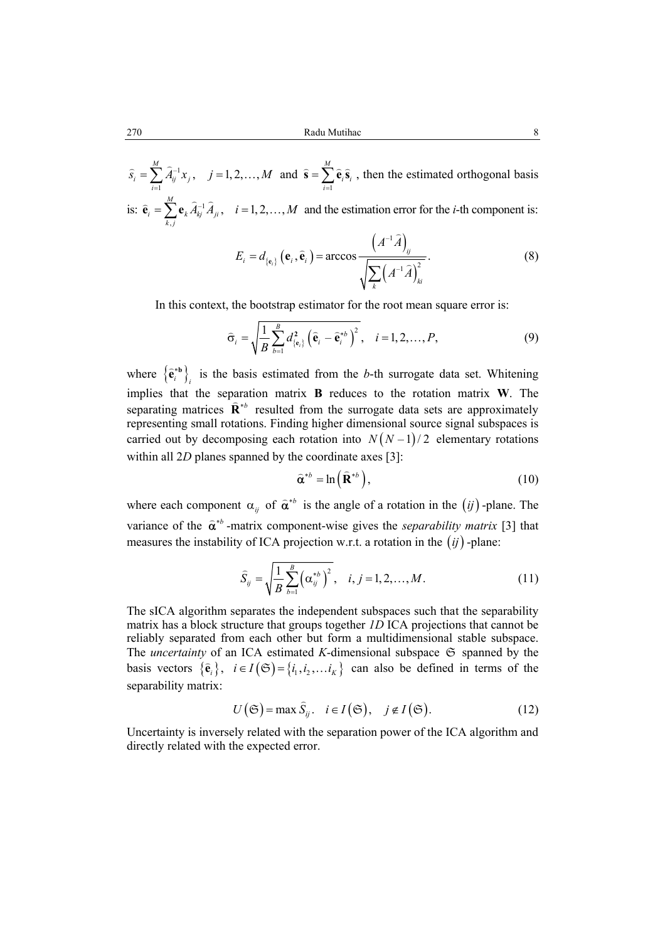270 Radu Mutihac 8

–1 1  $\sum_{i=1}^{M} \hat{A}_{ii}^{-1} x_{i}, \quad j = 1, 2, \ldots,$  $i = \sum_{i=1}^J A_{ij} \lambda_j$  $\widehat{s}_i = \sum A_{ii}^{-1} x_i, \quad j = 1, 2, ..., M$  $\widehat{s}_i = \sum_{i=1}^{M} \widehat{A}_{ij}^{-1} x_j$ ,  $j = 1, 2, ..., M$  and  $\widehat{s} = \sum_{i=1}^{M}$  $\hat{\mathbf{s}} = \sum_{i=1}^{M} \hat{\mathbf{e}}_i \hat{\mathbf{s}}_i$ , then the estimated orthogonal basis is:  $\hat{\mathbf{e}}_i = \sum_{k} \mathbf{e}_k \hat{A}_{ki}^{-1}$ ,  $\sum_{k}^{M} e_{k} \hat{A}_{ki}^{-1} \hat{A}_{ii}$ ,  $i = 1, 2, ...,$  $\hat{\mathbf{e}}_i = \sum_{k,j}^{M} \mathbf{e}_k \hat{A}_{kj}^{-1} \hat{A}_{ji}$ ,  $i = 1, 2, ..., M$  and the estimation error for the *i*-th component is:

$$
E_{i} = d_{\{\mathbf{e}_{i}\}}\left(\mathbf{e}_{i}, \widehat{\mathbf{e}}_{i}\right) = \arccos \frac{\left(A^{-1}\widehat{A}\right)_{ij}}{\sqrt{\sum_{k}\left(A^{-1}\widehat{A}\right)_{ki}^{2}}}.
$$
\n(8)

In this context, the bootstrap estimator for the root mean square error is:

$$
\widehat{\sigma}_i = \sqrt{\frac{1}{B} \sum_{b=1}^B d_{\{\mathbf{e}_i\}}^2 \left(\widehat{\mathbf{e}}_i - \widehat{\mathbf{e}}_i^{*b}\right)^2}, \quad i = 1, 2, ..., P,
$$
\n(9)

where  ${\{\hat{\mathbf{e}}_i^{*b}\}_i}$  is the basis estimated from the *b*-th surrogate data set. Whitening implies that the separation matrix **B** reduces to the rotation matrix **W**. The separating matrices  $\hat{\mathbf{R}}^{*b}$  resulted from the surrogate data sets are approximately representing small rotations. Finding higher dimensional source signal subspaces is carried out by decomposing each rotation into  $N(N-1)/2$  elementary rotations within all 2*D* planes spanned by the coordinate axes [3]:

$$
\widehat{\mathbf{\alpha}}^{*b} = \ln\left(\widehat{\mathbf{R}}^{*b}\right),\tag{10}
$$

where each component  $\alpha_{ij}$  of  $\hat{\alpha}^{*b}$  is the angle of a rotation in the  $(ij)$ -plane. The variance of the  $\hat{\alpha}^{*b}$  -matrix component-wise gives the *separability matrix* [3] that measures the instability of ICA projection w.r.t. a rotation in the (*ij*) -plane:

$$
\widehat{S}_{ij} = \sqrt{\frac{1}{B} \sum_{b=1}^{B} (\alpha_{ij}^{*b})^2}, \quad i, j = 1, 2, ..., M.
$$
 (11)

The sICA algorithm separates the independent subspaces such that the separability matrix has a block structure that groups together *1D* ICA projections that cannot be reliably separated from each other but form a multidimensional stable subspace. The *uncertainty* of an ICA estimated *K*-dimensional subspace  $G$  spanned by the basis vectors  $\{\hat{\mathbf{e}}_i\}$ ,  $i \in I(\mathfrak{S}) = \{i_1, i_2, \dots i_k\}$  can also be defined in terms of the separability matrix:

$$
U(\mathfrak{S}) = \max \widehat{S}_{ij}, \quad i \in I(\mathfrak{S}), \quad j \notin I(\mathfrak{S}).
$$
 (12)

Uncertainty is inversely related with the separation power of the ICA algorithm and directly related with the expected error.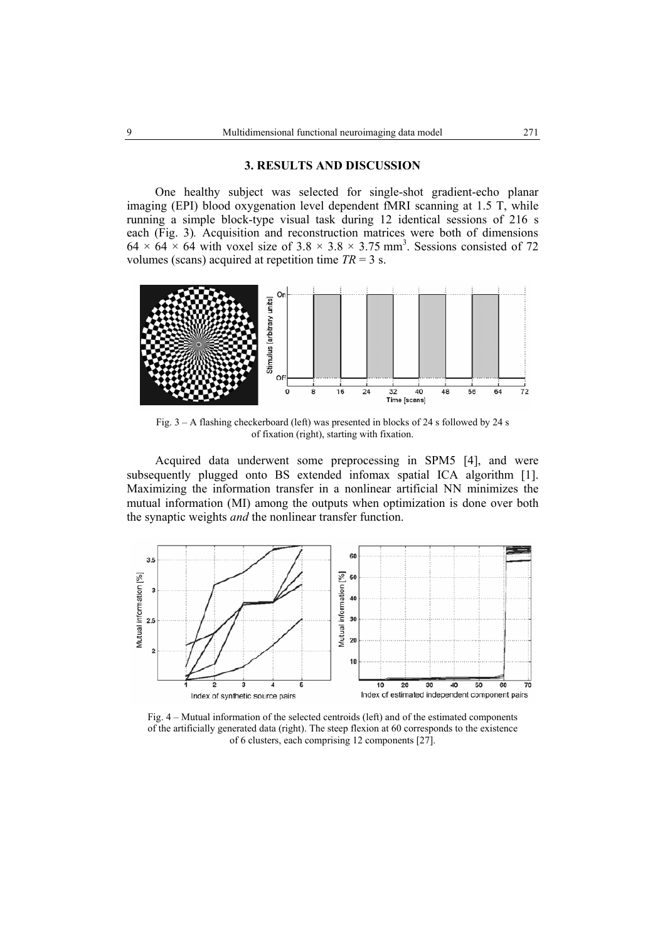### **3. RESULTS AND DISCUSSION**

One healthy subject was selected for single-shot gradient-echo planar imaging (EPI) blood oxygenation level dependent fMRI scanning at 1.5 T, while running a simple block-type visual task during 12 identical sessions of 216 s each (Fig. 3)*.* Acquisition and reconstruction matrices were both of dimensions  $64 \times 64 \times 64$  with voxel size of  $3.8 \times 3.8 \times 3.75$  mm<sup>3</sup>. Sessions consisted of 72 volumes (scans) acquired at repetition time  $TR = 3$  s.



Fig. 3 – A flashing checkerboard (left) was presented in blocks of 24 s followed by 24 s of fixation (right), starting with fixation.

Acquired data underwent some preprocessing in SPM5 [4], and were subsequently plugged onto BS extended infomax spatial ICA algorithm [1]. Maximizing the information transfer in a nonlinear artificial NN minimizes the mutual information (MI) among the outputs when optimization is done over both the synaptic weights *and* the nonlinear transfer function.



Fig. 4 – Mutual information of the selected centroids (left) and of the estimated components of the artificially generated data (right). The steep flexion at 60 corresponds to the existence of 6 clusters, each comprising 12 components [27].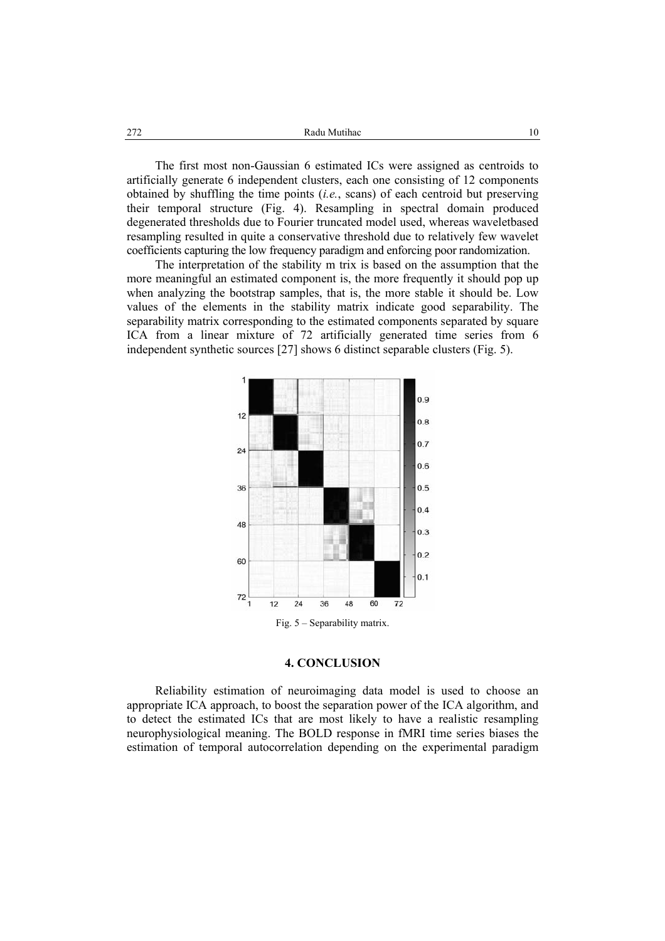272 Radu Mutihac 10

The first most non-Gaussian 6 estimated ICs were assigned as centroids to artificially generate 6 independent clusters, each one consisting of 12 components obtained by shuffling the time points (*i.e.*, scans) of each centroid but preserving their temporal structure (Fig. 4). Resampling in spectral domain produced degenerated thresholds due to Fourier truncated model used, whereas waveletbased resampling resulted in quite a conservative threshold due to relatively few wavelet coefficients capturing the low frequency paradigm and enforcing poor randomization.

The interpretation of the stability m trix is based on the assumption that the more meaningful an estimated component is, the more frequently it should pop up when analyzing the bootstrap samples, that is, the more stable it should be. Low values of the elements in the stability matrix indicate good separability. The separability matrix corresponding to the estimated components separated by square ICA from a linear mixture of 72 artificially generated time series from 6 independent synthetic sources [27] shows 6 distinct separable clusters (Fig. 5).



### **4. CONCLUSION**

Reliability estimation of neuroimaging data model is used to choose an appropriate ICA approach, to boost the separation power of the ICA algorithm, and to detect the estimated ICs that are most likely to have a realistic resampling neurophysiological meaning. The BOLD response in fMRI time series biases the estimation of temporal autocorrelation depending on the experimental paradigm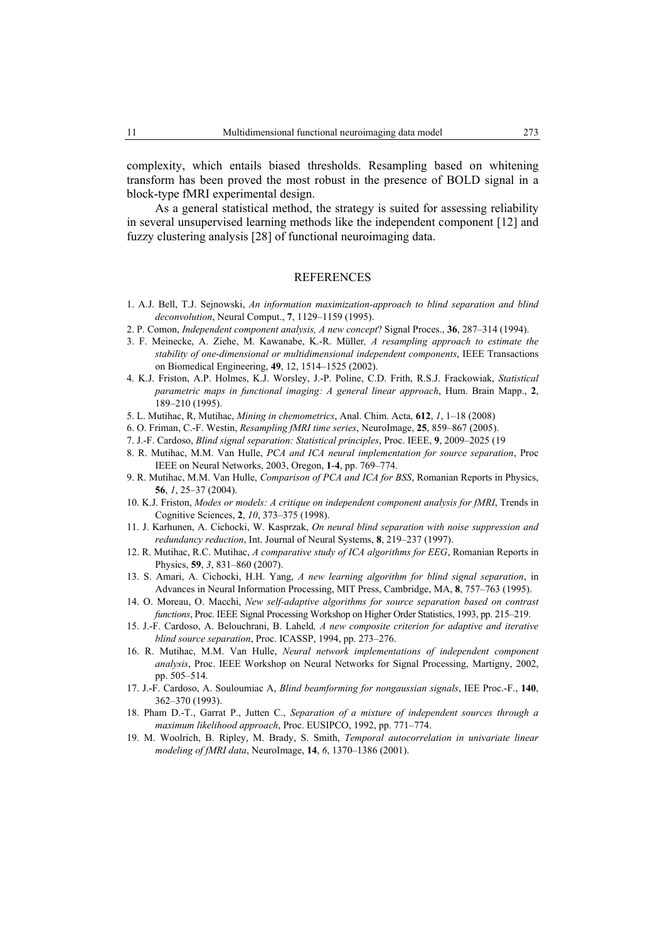complexity, which entails biased thresholds. Resampling based on whitening transform has been proved the most robust in the presence of BOLD signal in a block-type fMRI experimental design.

As a general statistical method, the strategy is suited for assessing reliability in several unsupervised learning methods like the independent component [12] and fuzzy clustering analysis [28] of functional neuroimaging data.

### REFERENCES

- 1. A.J. Bell, T.J. Sejnowski, *An information maximization-approach to blind separation and blind deconvolution*, Neural Comput., **7**, 1129–1159 (1995).
- 2. P. Comon, *Independent component analysis, A new concept*? Signal Proces., **36**, 287–314 (1994).
- 3. F. Meinecke, A. Ziehe, M. Kawanabe, K.-R. Müller*, A resampling approach to estimate the stability of one-dimensional or multidimensional independent components*, IEEE Transactions on Biomedical Engineering, **49**, 12, 1514–1525 (2002).
- 4. K.J. Friston, A.P. Holmes, K.J. Worsley, J.-P. Poline, C.D. Frith, R.S.J. Frackowiak, *Statistical parametric maps in functional imaging: A general linear approach*, Hum. Brain Mapp., **2**, 189–210 (1995).
- 5. L. Mutihac, R, Mutihac, *Mining in chemometrics*, Anal. Chim. Acta, **612**, *1*, 1–18 (2008)
- 6. O. Friman, C.-F. Westin, *Resampling fMRI time series*, NeuroImage, **25**, 859–867 (2005).
- 7. J.-F. Cardoso, *Blind signal separation: Statistical principles*, Proc. IEEE, **9**, 2009–2025 (19
- 8. R. Mutihac, M.M. Van Hulle, *PCA and ICA neural implementation for source separation*, Proc IEEE on Neural Networks, 2003, Oregon, **1**-**4**, pp. 769–774.
- 9. R. Mutihac, M.M. Van Hulle, *Comparison of PCA and ICA for BSS*, Romanian Reports in Physics, **56**, *1*, 25–37 (2004).
- 10. K.J. Friston, *Modes or models: A critique on independent component analysis for fMRI*, Trends in Cognitive Sciences, **2**, *10*, 373–375 (1998).
- 11. J. Karhunen, A. Cichocki, W. Kasprzak, *On neural blind separation with noise suppression and redundancy reduction*, Int. Journal of Neural Systems, **8**, 219–237 (1997).
- 12. R. Mutihac, R.C. Mutihac, *A comparative study of ICA algorithms for EEG*, Romanian Reports in Physics, **59**, *3*, 831–860 (2007).
- 13. S. Amari, A. Cichocki, H.H. Yang, *A new learning algorithm for blind signal separation*, in Advances in Neural Information Processing, MIT Press, Cambridge, MA, **8**, 757–763 (1995).
- 14. O. Moreau, O. Macchi, *New self-adaptive algorithms for source separation based on contrast functions*, Proc. IEEE Signal Processing Workshop on Higher Order Statistics, 1993, pp. 215–219.
- 15. J.-F. Cardoso, A. Belouchrani, B. Laheld*, A new composite criterion for adaptive and iterative blind source separation*, Proc. ICASSP, 1994, pp. 273–276.
- 16. R. Mutihac, M.M. Van Hulle, *Neural network implementations of independent component analysis*, Proc. IEEE Workshop on Neural Networks for Signal Processing, Martigny, 2002, pp. 505–514.
- 17. J.-F. Cardoso, A. Souloumiac A, *Blind beamforming for nongaussian signals*, IEE Proc.-F., **140**, 362–370 (1993).
- 18. Pham D.-T., Garrat P., Jutten C., *Separation of a mixture of independent sources through a maximum likelihood approach*, Proc. EUSIPCO, 1992, pp. 771–774.
- 19. M. Woolrich, B. Ripley, M. Brady, S. Smith, *Temporal autocorrelation in univariate linear modeling of fMRI data*, NeuroImage, **14**, *6*, 1370–1386 (2001).